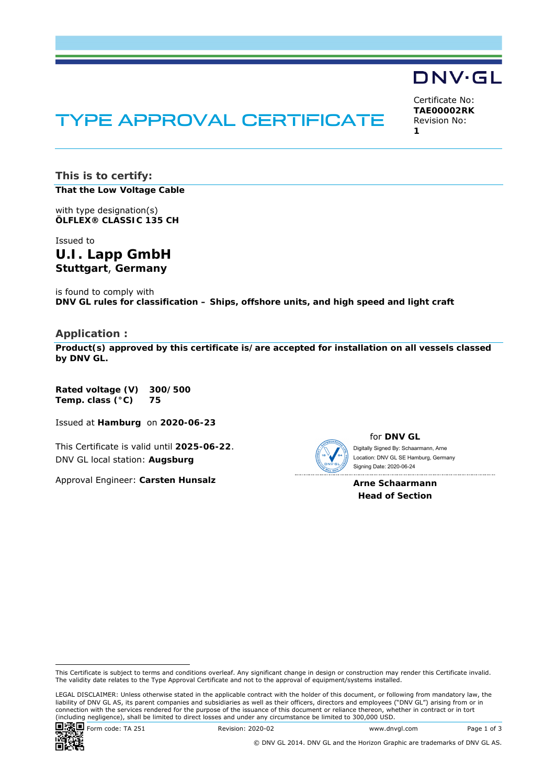# TYPE APPROVAL CERTIFICATE

Certificate No: **TAE00002RK** Revision No: **1** 

DNV·GL

**This is to certify: That the Low Voltage Cable**

with type designation(s) **ÖLFLEX® CLASSIC 135 CH**

Issued to **U.I. Lapp GmbH Stuttgart**, **Germany** 

is found to comply with **DNV GL rules for classification – Ships, offshore units, and high speed and light craft** 

#### **Application :**

**Product(s) approved by this certificate is/are accepted for installation on all vessels classed by DNV GL.**

**Rated voltage (V) 300/500 Temp. class (°C) 75** 

Issued at **Hamburg** on **2020-06-23**

This Certificate is valid until **2025-06-22**. DNV GL local station: **Augsburg**

Approval Engineer: **Carsten Hunsalz**



for **DNV GL**

 Signing Date: 2020-06-24 Digitally Signed By: Schaarmann, Arne Location: DNV GL SE Hamburg, Germany

**Arne Schaarmann Head of Section** 

LEGAL DISCLAIMER: Unless otherwise stated in the applicable contract with the holder of this document, or following from mandatory law, the liability of DNV GL AS, its parent companies and subsidiaries as well as their officers, directors and employees ("DNV GL") arising from or in connection with the services rendered for the purpose of the issuance of this document or reliance thereon, whether in contract or in tort (including negligence), shall be limited to direct losses and under any circumstance be limited to 300,000 USD.



© DNV GL 2014. DNV GL and the Horizon Graphic are trademarks of DNV GL AS.

This Certificate is subject to terms and conditions overleaf. Any significant change in design or construction may render this Certificate invalid. The validity date relates to the Type Approval Certificate and not to the approval of equipment/systems installed.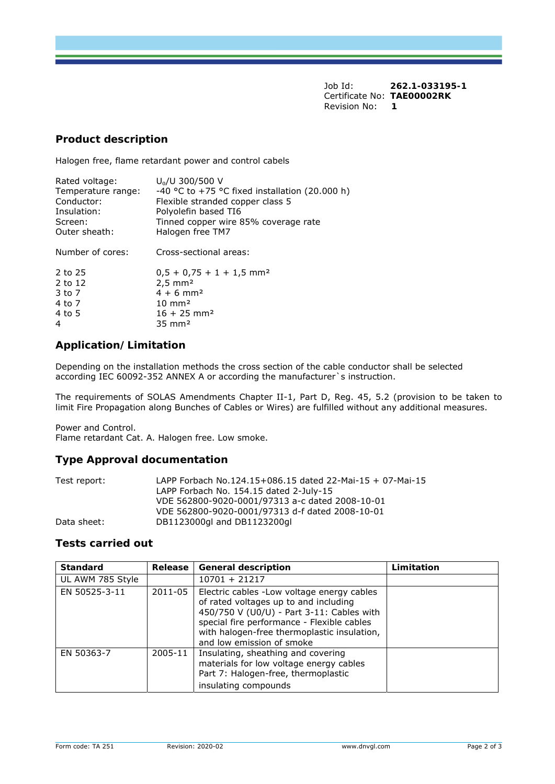Job Id: **262.1-033195-1**  Certificate No: **TAE00002RK** Revision No: **1** 

### **Product description**

Halogen free, flame retardant power and control cabels

| U <sub>0</sub> /U 300/500 V                    |
|------------------------------------------------|
| -40 °C to +75 °C fixed installation (20.000 h) |
| Flexible stranded copper class 5               |
| Polyolefin based TI6                           |
| Tinned copper wire 85% coverage rate           |
| Halogen free TM7                               |
|                                                |
| Cross-sectional areas:                         |
|                                                |
| $0.5 + 0.75 + 1 + 1.5$ mm <sup>2</sup>         |
| $2,5 \, \text{mm}^2$                           |
| $4 + 6$ mm <sup>2</sup>                        |
| $10 \text{ mm}^2$                              |
| $16 + 25$ mm <sup>2</sup>                      |
| $35 \text{ mm}^2$                              |
|                                                |

## **Application/Limitation**

Depending on the installation methods the cross section of the cable conductor shall be selected according IEC 60092-352 ANNEX A or according the manufacturer`s instruction.

The requirements of SOLAS Amendments Chapter II-1, Part D, Reg. 45, 5.2 (provision to be taken to limit Fire Propagation along Bunches of Cables or Wires) are fulfilled without any additional measures.

Power and Control.

Flame retardant Cat. A. Halogen free. Low smoke.

#### **Type Approval documentation**

| LAPP Forbach No.124.15+086.15 dated 22-Mai-15 + 07-Mai-15 |
|-----------------------------------------------------------|
| LAPP Forbach No. 154.15 dated 2-July-15                   |
| VDE 562800-9020-0001/97313 a-c dated 2008-10-01           |
| VDE 562800-9020-0001/97313 d-f dated 2008-10-01           |
| DB1123000gl and DB1123200gl                               |
|                                                           |

#### **Tests carried out**

| <b>Standard</b>  | Release | <b>General description</b>                                                                                                                                                                                                                                  | Limitation |
|------------------|---------|-------------------------------------------------------------------------------------------------------------------------------------------------------------------------------------------------------------------------------------------------------------|------------|
| UL AWM 785 Style |         | $10701 + 21217$                                                                                                                                                                                                                                             |            |
| EN 50525-3-11    | 2011-05 | Electric cables - Low voltage energy cables<br>of rated voltages up to and including<br>450/750 V (U0/U) - Part 3-11: Cables with<br>special fire performance - Flexible cables<br>with halogen-free thermoplastic insulation,<br>and low emission of smoke |            |
| EN 50363-7       | 2005-11 | Insulating, sheathing and covering<br>materials for low voltage energy cables<br>Part 7: Halogen-free, thermoplastic<br>insulating compounds                                                                                                                |            |